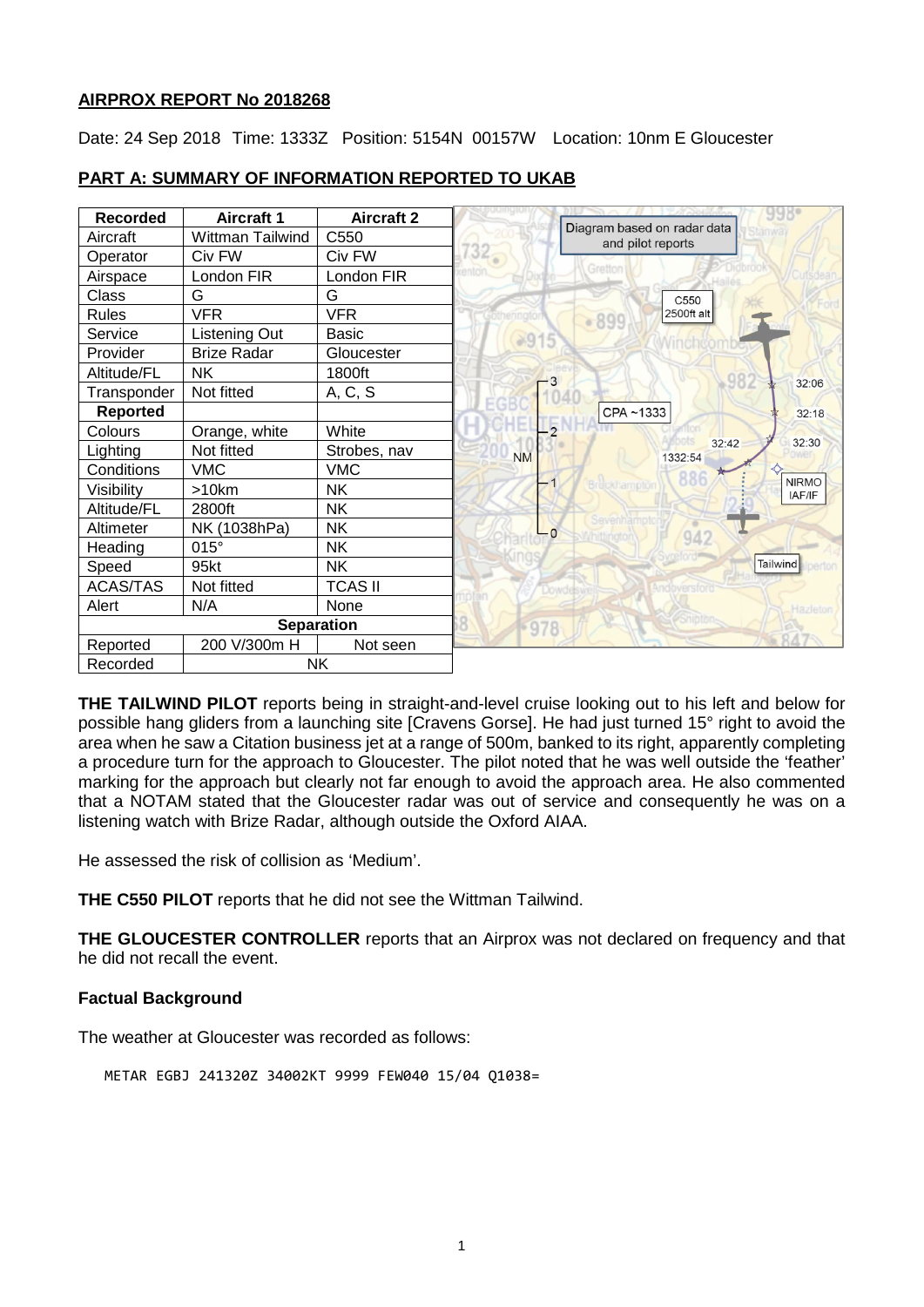### **AIRPROX REPORT No 2018268**

Date: 24 Sep 2018 Time: 1333Z Position: 5154N 00157W Location: 10nm E Gloucester

| <b>Recorded</b> | <b>Aircraft 1</b>  | <b>Aircraft 2</b> |           |                                                  |
|-----------------|--------------------|-------------------|-----------|--------------------------------------------------|
| Aircraft        | Wittman Tailwind   | C550              |           | Diagram based on radar data<br>and pilot reports |
| Operator        | Civ FW             | Civ FW            | $732 -$   |                                                  |
| Airspace        | London FIR         | London FIR        |           | Gretton                                          |
| Class           | G                  | G                 |           | C <sub>550</sub>                                 |
| Rules           | <b>VFR</b>         | <b>VFR</b>        |           | 2500ft alt<br>$-899$                             |
| Service         | Listening Out      | <b>Basic</b>      | $*915$    |                                                  |
| Provider        | <b>Brize Radar</b> | Gloucester        |           |                                                  |
| Altitude/FL     | <b>NK</b>          | 1800ft            | - 3       |                                                  |
| Transponder     | Not fitted         | A, C, S           |           | 32:06                                            |
| <b>Reported</b> |                    |                   |           | CPA~1333<br>32:18                                |
| Colours         | Orange, white      | White             |           |                                                  |
| Lighting        | Not fitted         | Strobes, nav      | <b>NM</b> | 32:30<br>32:42<br>1332:54                        |
| Conditions      | <b>VMC</b>         | <b>VMC</b>        |           |                                                  |
| Visibility      | >10km              | <b>NK</b>         |           | <b>NIRMO</b><br>IAF/IF                           |
| Altitude/FL     | 2800ft             | <b>NK</b>         |           |                                                  |
| Altimeter       | NK (1038hPa)       | <b>NK</b>         | - 0       | 942                                              |
| Heading         | $015^\circ$        | <b>NK</b>         |           |                                                  |
| Speed           | 95kt               | <b>NK</b>         |           | Tailwind                                         |
| <b>ACAS/TAS</b> | Not fitted         | <b>TCAS II</b>    |           |                                                  |
| Alert           | N/A                | None              |           | Hazletor                                         |
|                 |                    | <b>Separation</b> | 978       |                                                  |
| Reported        | 200 V/300m H       | Not seen          |           |                                                  |
| Recorded        | <b>NK</b>          |                   |           |                                                  |

# **PART A: SUMMARY OF INFORMATION REPORTED TO UKAB**

**THE TAILWIND PILOT** reports being in straight-and-level cruise looking out to his left and below for possible hang gliders from a launching site [Cravens Gorse]. He had just turned 15° right to avoid the area when he saw a Citation business jet at a range of 500m, banked to its right, apparently completing a procedure turn for the approach to Gloucester. The pilot noted that he was well outside the 'feather' marking for the approach but clearly not far enough to avoid the approach area. He also commented that a NOTAM stated that the Gloucester radar was out of service and consequently he was on a listening watch with Brize Radar, although outside the Oxford AIAA.

He assessed the risk of collision as 'Medium'.

**THE C550 PILOT** reports that he did not see the Wittman Tailwind.

**THE GLOUCESTER CONTROLLER** reports that an Airprox was not declared on frequency and that he did not recall the event.

# **Factual Background**

The weather at Gloucester was recorded as follows:

METAR EGBJ 241320Z 34002KT 9999 FEW040 15/04 Q1038=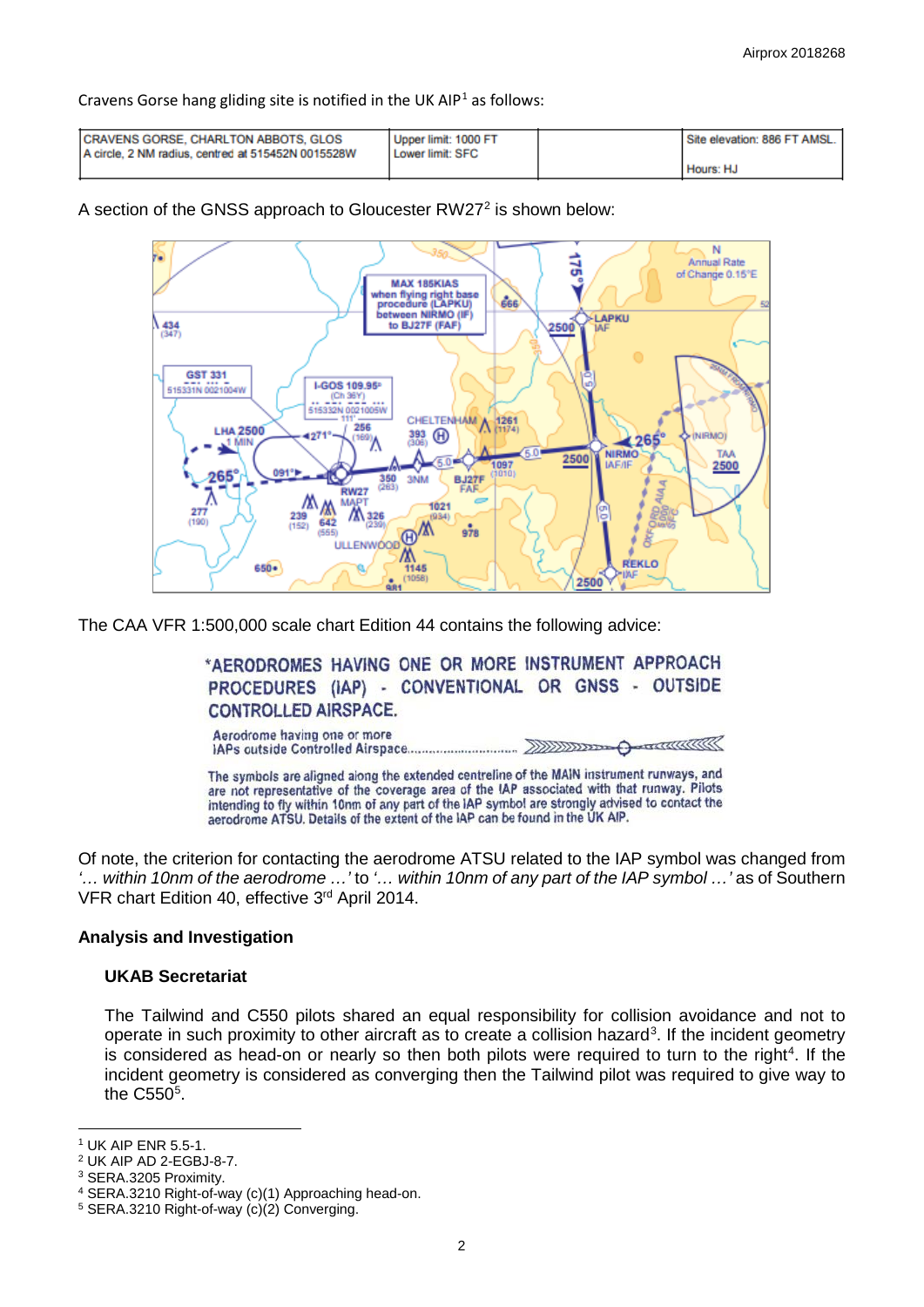Cravens Gorse hang gliding site is notified in the UK AIP<sup>[1](#page-1-0)</sup> as follows:

| <b>CRAVENS GORSE, CHARLTON ABBOTS, GLOS</b><br>A circle, 2 NM radius, centred at 515452N 0015528W | Upper limit: 1000 FT<br>Lower limit: SFC | Site elevation: 886 FT AMSL. I |
|---------------------------------------------------------------------------------------------------|------------------------------------------|--------------------------------|
|                                                                                                   |                                          | Hours: HJ                      |

A section of the GNSS approach to Gloucester RW[2](#page-1-1)7<sup>2</sup> is shown below:



The CAA VFR 1:500,000 scale chart Edition 44 contains the following advice:

\*AERODROMES HAVING ONE OR MORE INSTRUMENT APPROACH PROCEDURES (IAP) - CONVENTIONAL OR GNSS - OUTSIDE **CONTROLLED AIRSPACE.** 

Aerodrome having one or more  $\overline{\phantom{a}}$  ,  $\overline{\phantom{a}}$  ,  $\overline{\phantom{a}}$  ,  $\overline{\phantom{a}}$  ,  $\overline{\phantom{a}}$  ,  $\overline{\phantom{a}}$  ,  $\overline{\phantom{a}}$  ,  $\overline{\phantom{a}}$  ,  $\overline{\phantom{a}}$  ,  $\overline{\phantom{a}}$  ,  $\overline{\phantom{a}}$  ,  $\overline{\phantom{a}}$  ,  $\overline{\phantom{a}}$  ,  $\overline{\phantom{a}}$  ,  $\overline{\phantom{a}}$  ,  $\overline{\phantom{a}}$ ↔

The symbols are aligned along the extended centreline of the MAIN instrument runways, and are not representative of the coverage area of the IAP associated with that runway. Pilots intending to fly within 10nm of any part of the IAP symbol are strongly advised to contact the aerodrome ATSU. Details of the extent of the IAP can be found in the UK AIP.

Of note, the criterion for contacting the aerodrome ATSU related to the IAP symbol was changed from *'… within 10nm of the aerodrome …'* to *'… within 10nm of any part of the IAP symbol …'* as of Southern VFR chart Edition 40, effective 3rd April 2014.

### **Analysis and Investigation**

### **UKAB Secretariat**

The Tailwind and C550 pilots shared an equal responsibility for collision avoidance and not to operate in such proximity to other aircraft as to create a collision hazard<sup>[3](#page-1-2)</sup>. If the incident geometry is considered as head-on or nearly so then both pilots were required to turn to the right<sup>[4](#page-1-3)</sup>. If the incident geometry is considered as converging then the Tailwind pilot was required to give way to the  $C550<sup>5</sup>$  $C550<sup>5</sup>$  $C550<sup>5</sup>$ .

<span id="page-1-2"></span><sup>3</sup> SERA.3205 Proximity.

 $\overline{\phantom{a}}$ <sup>1</sup> UK AIP ENR 5.5-1.

<span id="page-1-1"></span><span id="page-1-0"></span><sup>2</sup> UK AIP AD 2-EGBJ-8-7.

<span id="page-1-4"></span><span id="page-1-3"></span><sup>4</sup> SERA.3210 Right-of-way (c)(1) Approaching head-on. 5 SERA.3210 Right-of-way (c)(2) Converging.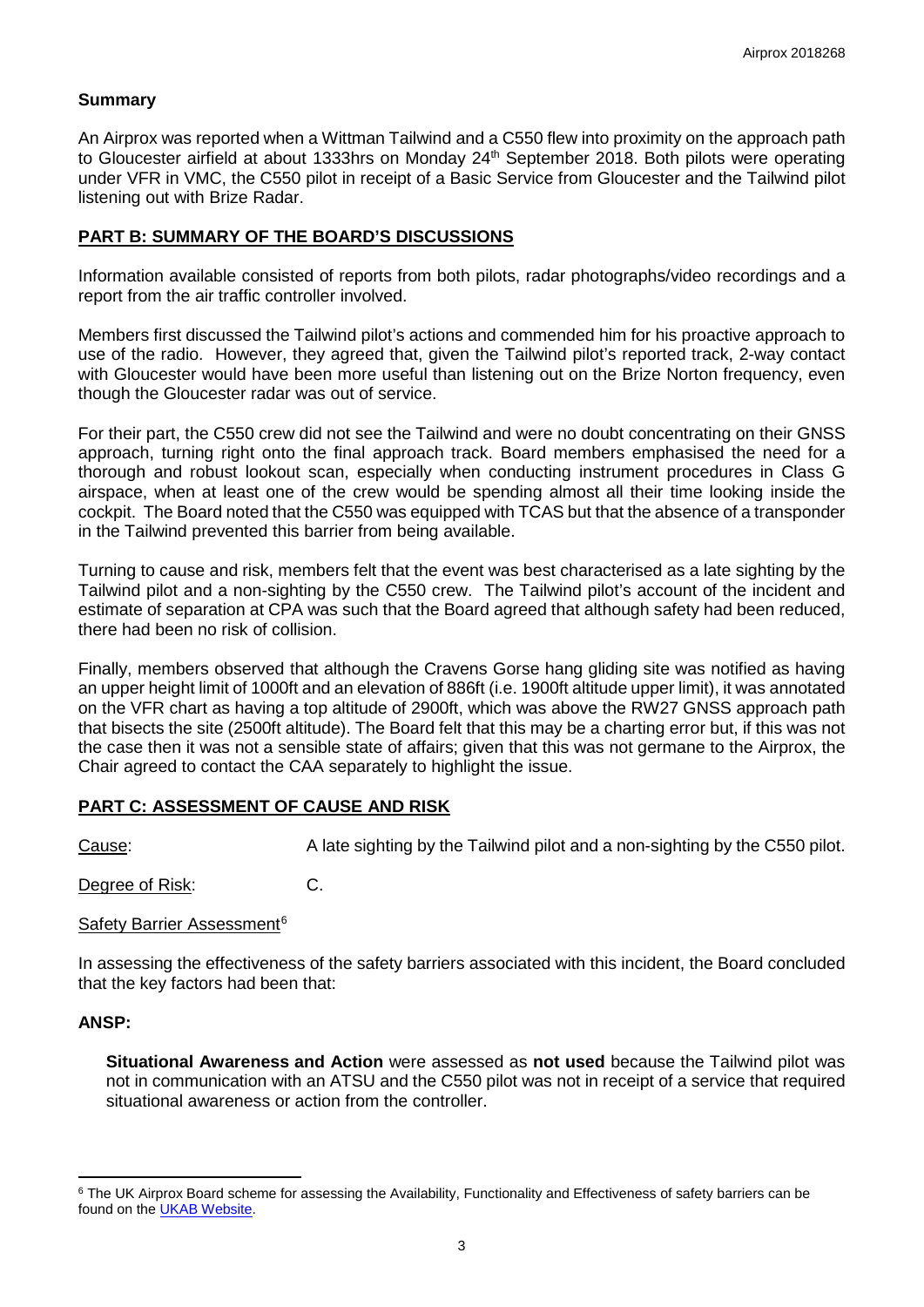### **Summary**

An Airprox was reported when a Wittman Tailwind and a C550 flew into proximity on the approach path to Gloucester airfield at about 1333hrs on Monday 24<sup>th</sup> September 2018. Both pilots were operating under VFR in VMC, the C550 pilot in receipt of a Basic Service from Gloucester and the Tailwind pilot listening out with Brize Radar.

## **PART B: SUMMARY OF THE BOARD'S DISCUSSIONS**

Information available consisted of reports from both pilots, radar photographs/video recordings and a report from the air traffic controller involved.

Members first discussed the Tailwind pilot's actions and commended him for his proactive approach to use of the radio. However, they agreed that, given the Tailwind pilot's reported track, 2-way contact with Gloucester would have been more useful than listening out on the Brize Norton frequency, even though the Gloucester radar was out of service.

For their part, the C550 crew did not see the Tailwind and were no doubt concentrating on their GNSS approach, turning right onto the final approach track. Board members emphasised the need for a thorough and robust lookout scan, especially when conducting instrument procedures in Class G airspace, when at least one of the crew would be spending almost all their time looking inside the cockpit. The Board noted that the C550 was equipped with TCAS but that the absence of a transponder in the Tailwind prevented this barrier from being available.

Turning to cause and risk, members felt that the event was best characterised as a late sighting by the Tailwind pilot and a non-sighting by the C550 crew. The Tailwind pilot's account of the incident and estimate of separation at CPA was such that the Board agreed that although safety had been reduced, there had been no risk of collision.

Finally, members observed that although the Cravens Gorse hang gliding site was notified as having an upper height limit of 1000ft and an elevation of 886ft (i.e. 1900ft altitude upper limit), it was annotated on the VFR chart as having a top altitude of 2900ft, which was above the RW27 GNSS approach path that bisects the site (2500ft altitude). The Board felt that this may be a charting error but, if this was not the case then it was not a sensible state of affairs; given that this was not germane to the Airprox, the Chair agreed to contact the CAA separately to highlight the issue.

### **PART C: ASSESSMENT OF CAUSE AND RISK**

Cause: A late sighting by the Tailwind pilot and a non-sighting by the C550 pilot.

Degree of Risk: C.

### Safety Barrier Assessment<sup>[6](#page-2-0)</sup>

In assessing the effectiveness of the safety barriers associated with this incident, the Board concluded that the key factors had been that:

### **ANSP:**

l

**Situational Awareness and Action** were assessed as **not used** because the Tailwind pilot was not in communication with an ATSU and the C550 pilot was not in receipt of a service that required situational awareness or action from the controller.

<span id="page-2-0"></span><sup>&</sup>lt;sup>6</sup> The UK Airprox Board scheme for assessing the Availability, Functionality and Effectiveness of safety barriers can be found on the [UKAB Website.](http://www.airproxboard.org.uk/Learn-more/Airprox-Barrier-Assessment/)